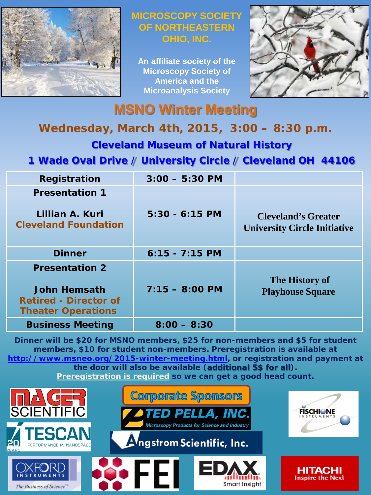

#### **MICROSCOPY SOCIET OF NORTHEASTERN OHIO, INC.**

**An affiliate society of the Microscopy Society of America and the Microanalysis Society**



# **MSNO Winter Meeting**

### **Wednesday, March 4th, 2015, 3:00 – 8:30 p.m.**

**Cleveland Museum of Natural History**

### **1 Wade Oval Drive / University Circle / Cleveland OH 44106**

| Registration                                                                                              | $3:00 - 5:30$ PM |                                                                   |
|-----------------------------------------------------------------------------------------------------------|------------------|-------------------------------------------------------------------|
| <b>Presentation 1</b>                                                                                     |                  |                                                                   |
| Lillian A. Kuri<br><b>Cleveland Foundation</b>                                                            | $5:30 - 6:15$ PM | <b>Cleveland's Greater</b><br><b>University Circle Initiative</b> |
| <b>Dinner</b>                                                                                             | $6:15 - 7:15$ PM |                                                                   |
| <b>Presentation 2</b><br><b>John Hemsath</b><br><b>Retired - Director of</b><br><b>Theater Operations</b> | $7:15 - 8:00$ PM | The History of<br><b>Playhouse Square</b>                         |
| <b>Business Meeting</b>                                                                                   | $8:00 - 8:30$    |                                                                   |

**Dinner will be \$20 for MSNO members, \$25 for non-members and \$5 for student members, \$10 for student non-members. Preregistration is available at <http://www.msneo.org/2015-winter-meeting.html>, or registration and payment at the door will also be available (additional 5\$ for all). Preregistration is required so we can get a good head count.**

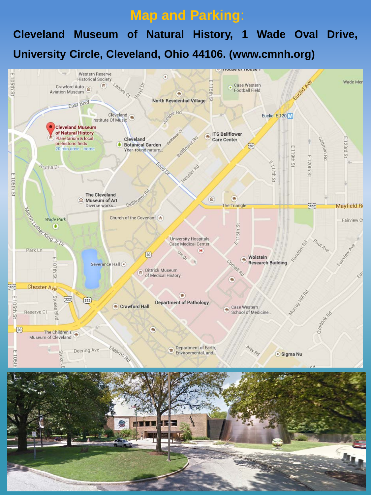## **Map and Parking**:

# **Cleveland Museum of Natural History, 1 Wade Oval Drive, University Circle, Cleveland, Ohio 44106. (www.cmnh.org)**

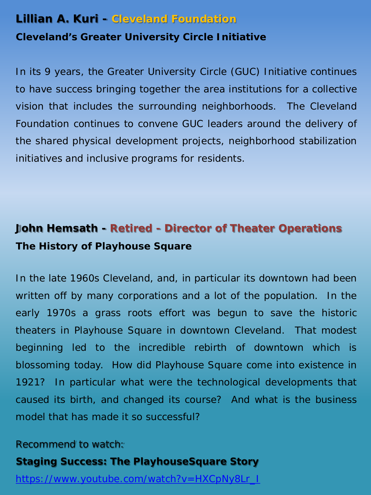#### **Lillian A. Kuri - Cleveland Foundation**

#### **Cleveland's Greater University Circle Initiative**

In its 9 years, the Greater University Circle (GUC) Initiative continues to have success bringing together the area institutions for a collective vision that includes the surrounding neighborhoods. The Cleveland Foundation continues to convene GUC leaders around the delivery of the shared physical development projects, neighborhood stabilization initiatives and inclusive programs for residents.

## **John Hemsath - Retired - Director of Theater Operations The History of Playhouse Square**

In the late 1960s Cleveland, and, in particular its downtown had been written off by many corporations and a lot of the population. In the early 1970s a grass roots effort was begun to save the historic theaters in Playhouse Square in downtown Cleveland. That modest beginning led to the incredible rebirth of downtown which is blossoming today. How did Playhouse Square come into existence in 1921? In particular what were the technological developments that caused its birth, and changed its course? And what is the business model that has made it so successful?

#### *Recommend to watch:*

#### **Staging Success: The PlayhouseSquare Story**

[https://www.youtube.com/watch?v=HXCpNy8Lr\\_I](https://www.youtube.com/watch?v=HXCpNy8Lr_I)